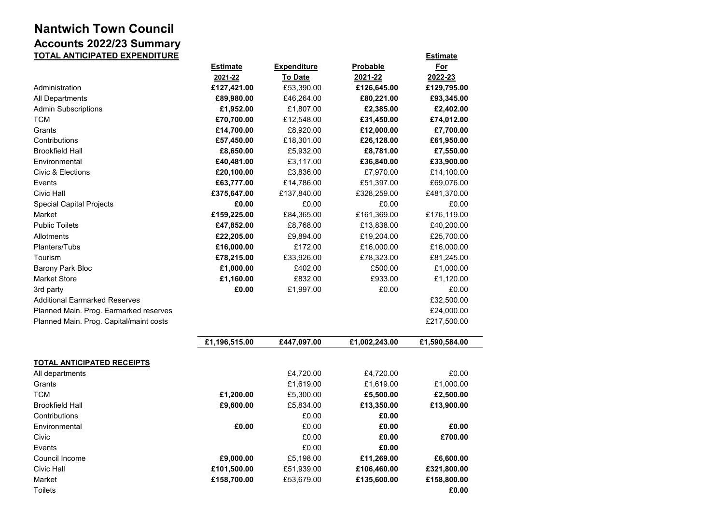## **Nantwich Town Council Accounts 2022/23 Summary TOTAL ANTICIPATED EXPENDITURE Estimate**

|                                         | <b>Estimate</b><br>2021-22 | <b>Expenditure</b><br><b>To Date</b> | Probable<br>2021-22 | <u>For</u><br>2022-23 |
|-----------------------------------------|----------------------------|--------------------------------------|---------------------|-----------------------|
| Administration                          | £127,421.00                | £53,390.00                           | £126,645.00         | £129,795.00           |
| All Departments                         | £89,980.00                 | £46,264.00                           | £80,221.00          | £93,345.00            |
| <b>Admin Subscriptions</b>              | £1,952.00                  | £1,807.00                            | £2,385.00           | £2,402.00             |
| <b>TCM</b>                              | £70,700.00                 | £12,548.00                           | £31,450.00          | £74,012.00            |
| Grants                                  | £14,700.00                 | £8,920.00                            | £12,000.00          | £7,700.00             |
| Contributions                           | £57,450.00                 | £18,301.00                           | £26,128.00          | £61,950.00            |
| <b>Brookfield Hall</b>                  | £8,650.00                  | £5,932.00                            | £8,781.00           | £7,550.00             |
| Environmental                           | £40,481.00                 | £3,117.00                            | £36,840.00          | £33,900.00            |
| Civic & Elections                       | £20,100.00                 | £3,836.00                            | £7,970.00           | £14,100.00            |
| Events                                  | £63,777.00                 | £14,786.00                           | £51,397.00          | £69,076.00            |
| Civic Hall                              | £375,647.00                | £137,840.00                          | £328,259.00         | £481,370.00           |
| <b>Special Capital Projects</b>         | £0.00                      | £0.00                                | £0.00               | £0.00                 |
| Market                                  | £159,225.00                | £84,365.00                           | £161,369.00         | £176,119.00           |
| <b>Public Toilets</b>                   | £47,852.00                 | £8,768.00                            | £13,838.00          | £40,200.00            |
| Allotments                              | £22,205.00                 | £9,894.00                            | £19,204.00          | £25,700.00            |
| Planters/Tubs                           | £16,000.00                 | £172.00                              | £16,000.00          | £16,000.00            |
| Tourism                                 | £78,215.00                 | £33,926.00                           | £78,323.00          | £81,245.00            |
| <b>Barony Park Bloc</b>                 | £1,000.00                  | £402.00                              | £500.00             | £1,000.00             |
| <b>Market Store</b>                     | £1,160.00                  | £832.00                              | £933.00             | £1,120.00             |
| 3rd party                               | £0.00                      | £1,997.00                            | £0.00               | £0.00                 |
| <b>Additional Earmarked Reserves</b>    |                            |                                      |                     | £32,500.00            |
| Planned Main. Prog. Earmarked reserves  |                            |                                      |                     | £24,000.00            |
| Planned Main. Prog. Capital/maint costs |                            |                                      |                     | £217,500.00           |
|                                         | £1,196,515.00              | £447,097.00                          | £1,002,243.00       | £1,590,584.00         |
| <b>TOTAL ANTICIPATED RECEIPTS</b>       |                            |                                      |                     |                       |
| All departments                         |                            | £4,720.00                            | £4,720.00           | £0.00                 |
| Grants                                  |                            | £1,619.00                            | £1,619.00           | £1,000.00             |
| <b>TCM</b>                              | £1,200.00                  | £5,300.00                            | £5,500.00           | £2,500.00             |
| <b>Brookfield Hall</b>                  | £9,600.00                  | £5,834.00                            | £13,350.00          | £13,900.00            |
| Contributions                           |                            | £0.00                                | £0.00               |                       |
| Environmental                           | £0.00                      | £0.00                                | £0.00               | £0.00                 |
| Civic                                   |                            | £0.00                                | £0.00               | £700.00               |
| Events                                  |                            | £0.00                                | £0.00               |                       |
| Council Income                          | £9,000.00                  | £5,198.00                            | £11,269.00          | £6,600.00             |
| Civic Hall                              | £101,500.00                | £51,939.00                           | £106,460.00         | £321,800.00           |
| Market                                  | £158,700.00                | £53,679.00                           | £135,600.00         | £158,800.00           |
| Toilets                                 |                            |                                      |                     | £0.00                 |